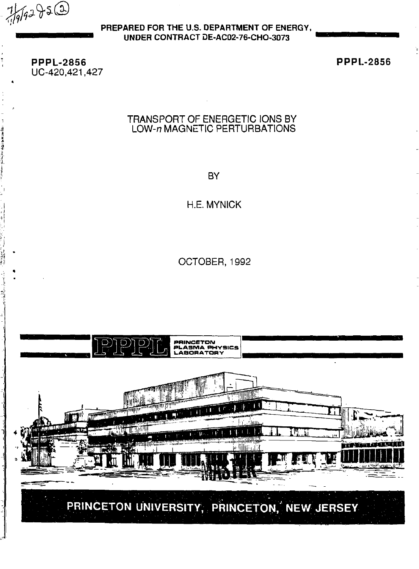$7/9/92950$ 

**PREPARED FOR THE U.S. DEPARTMENT OF ENERGY, UNDER CONTRACT DE-AC02-76-CHO-3073** 

**PPPL-2856**  UC-420,421,427 **PPPL-2856** 

## TRANSPORT OF ENERGETIC IONS BY LOW-n MAGNETIC PERTURBATIONS

**BY** 

H.E. MYNICK

OCTOBER, 1992

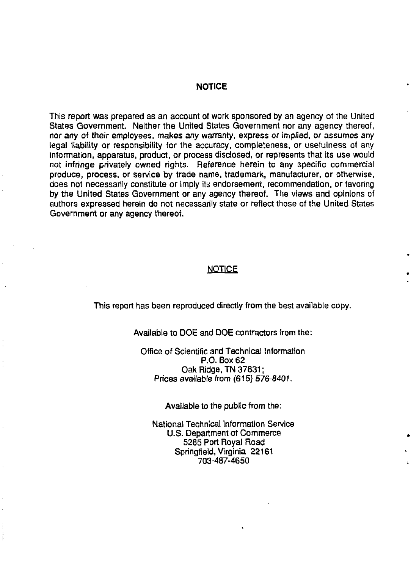#### **NOTICE**

This report was prepared as an account of work sponsored by an agency of the United States Government. Neither the United States Government nor any agency thereof, nor any of their employees, makes any warranty, express or implied, or assumes any legal liability or responsibility for the accuracy, completeness, or usefulness of any information, apparatus, product, or process disclosed, or represents that its use would not infringe privately owned rights. Reference herein to any specific commercial produce, process, or service by trade name, trademark, manufacturer, or otherwise, does not necessarily constitute or imply its endorsement, recommendation, or favoring by the United States Government or any agency thereof. The views and opinions of authors expressed herein do not necessarily state or reflect those of the United States Government or any agency thereof.

#### **NOTICE**

This report has been reproduced directly from the best available copy.

Available to DOE and DOE contractors from the:

Office of Scientific and Technical Information P.O. Box 62 Oak Ridge, TN 37831; Prices available from (615) 576-8401.

Available to the public from the:

National Technical Information Service U.S. Department of Commerce 5285 Port Royal Road Springfield, Virginia 22161 703-487-4650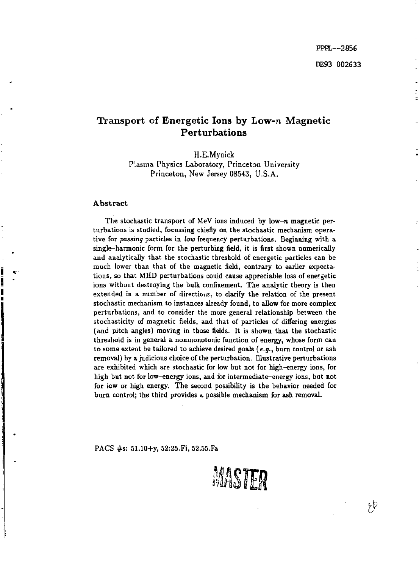# Transport of Energetic Ions by Low-n Magnetic Perturbations

H.E.Mynick Plasma Physics Laboratory, Princeton University Princeton, New Jersey 08543, U.S.A.

#### **Abstract**

The stochastic transport of MeV ions induced by low-n magnetic perturbations is studied, focussing chiefly on the stochastic mechanism operative for *passing* particles in *low* frequency perturbations. Beginning with a single-harmonic form for the perturbing field, it is first shown numerically and analytically that the stochastic threshold of energetic particles can be much lower than that of the magnetic field, contrary to earlier expectations, so that MHD perturbations could cause appreciable loss of energetic ions without destroying the bulk confinement. The analytic theory is then extended in a number of directions, to clarify the relation of the present stochastic mechanism to instances already found, to allow for more complex perturbations, and to consider the more general relationship between the stochasticity of magnetic fields, and that of particles of differing energies (and pitch angles) moving in those fields. It is shown that the stochastic threshold is in general a nonmonotonic function of energy, whose form can to some extent be tailored to achieve desired goals *(e.g.,* burn control or ash removal) by a judicious choice of the perturbation. Illustrative perturbations are exhibited which are stochastic for low but not for high-energy ions, for high but not for low-energy ions, and for intermediate-energy ions, but not for low or high energy. The second possibility is the behavior needed for burn control; the third provides a possible mechanism for ash removal.

PACS #s: 51.10+y, 52:25.Fi, 52.55.Fa

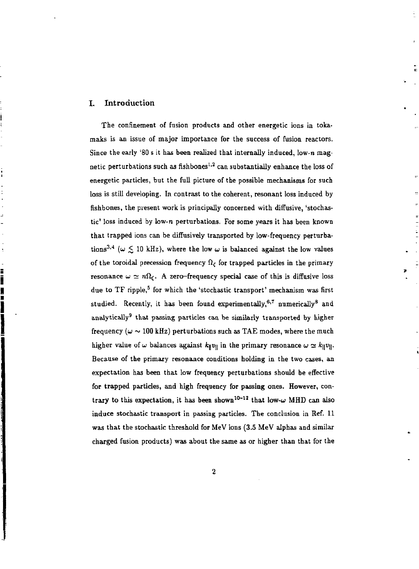#### I. Introduction

i

The confinement of fusion products and other energetic ions in tokamaks is an issue of major importance for the success of fusion reactors. Since the early '80 s it has been realized that internally induced, low-n magnetic perturbations such as fishbones<sup>1,2</sup> can substantially enhance the loss of energetic particles, but the full picture of the possible mechanisms for such loss is still developing. In contrast to the coherent, resonant loss induced by fishbones, the present work is principally concerned with diffusive, 'stochastic' loss induced by low-n perturbations. For some years it has been known that trapped ions can be diffusively transported by low-frequency perturbations<sup>3,4</sup> ( $\omega \le 10$  kHz), where the low  $\omega$  is balanced against the low values of the toroidal precession frequency  $\Omega_{\epsilon}$  for trapped particles in the primary resonance  $\omega \simeq n\Omega_c$ . A zero-frequency special case of this is diffusive loss due to TF ripple,<sup>5</sup> for which the 'stochastic transport' mechanism was first studied. Recently, it has been found experimentally,  $6,7$  numerically and analytically<sup>9</sup> that passing particles can be similarly transported by higher frequency ( $\omega \sim 100$  kHz) perturbations such as TAE modes, where the much higher value of  $\omega$  balances against  $k_{\parallel}v_{\parallel}$  in the primary resonance  $\omega \simeq k_{\parallel}v_{\parallel}$ . Because of the primary resonance conditions holding in the two cases, an expectation has been that low frequency perturbations should be effective for trapped particles, and high frequency for passing ones. However, contrary to this expectation, it has been shown<sup>10–12</sup> that low- $\omega$  MHD can also induce stochastic transport in passing particles. The conclusion in Ref. 11 was that the stochastic threshold for MeV ions (3.5 MeV alphas and similar charged fusion products) was about the same as or higher than that for the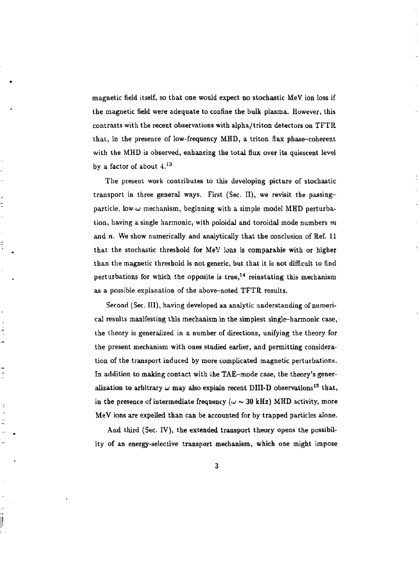magnetic field itself, so that one would expect no stochastic MeV ion loss if the magnetic field were adequate to confine the bulk plasma. However, this contrasts with the recent observations with alpha/triton detectors on TFTR that, in the presence of low-frequency MHD, a triton flux phase-coherent with the MHD is observed, enhancing the total flux over its quiescent level by a factor of about  $4.13$ 

The present work contributes to this developing picture of stochastic transport in three general ways. First (Sec. II), we revisit the passingparticle, low *w* mechanism, beginning with a simple model MHD perturbation, having a single harmonic, with poloidal and toroidal mode numbers *m*  and *n.* We show numerically and analytically that the conclusion of Ref. 11 that the stochastic threshold for MeV ions is comparable with or higher than the magnetic threshold is not generic, but that it is not difficult to find perturbations for which the opposite is true,<sup>14</sup> reinstating this mechanism as a possible explanation of the above-noted TFTR results.

t

 $\frac{4}{3}$ 

 $\overline{\phantom{a}}$ 

 $\parallel$ 

Second (Sec. III), having developed an analytic understanding of numerical results manifesting this mechanism in the simplest single-harmonic case, the theory is generalized in a number of directions, unifying the theory for the present mechanism with ones studied earlier, and permitting consideration of the transport induced by more complicated magnetic perturbations. In addition to making contact with the TAE-mode case, the theory's generalization to arbitrary  $\omega$  may also explain recent DIII-D observations<sup>15</sup> that, in the presence of intermediate frequency  $(\omega \sim 30 \text{ kHz})$  MHD activity, more MeV ions are expelled than can be accounted for by trapped particles alone.

And third (Sec. IV), the extended transport theory opens the possibility of an energy-selective transport mechanism, which one might impose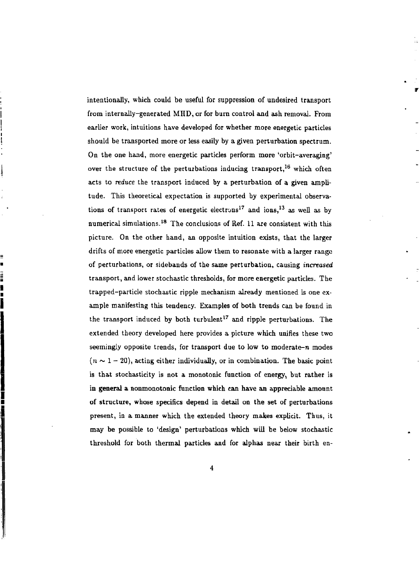intentionally, which could be useful for suppression of undesired transport from internally-generated MHD, or for burn control and ash removal. From earlier work, intuitions have developed for whether more energetic particles should be transported more or less easily by a given perturbation spectrum. On the one hand, more energetic particles perform more 'orbit-averaging' over the structure of the perturbations inducing transport,<sup>16</sup> which often acts to *reduce* the transport induced by a perturbation of a given amplitude. This theoretical expectation is supported by experimental observations of transport rates of energetic electrons<sup>17</sup> and ions,<sup>13</sup> as well as by numerical simulations.<sup>18</sup> The conclusions of Ref. 11 are consistent with this picture. On the other hand, an opposite intuition exists, that the larger drifts of more energetic particles allow them to resonate with a larger range of perturbations, or sidebands of the same perturbation, causing *increased*  transport, and lower stochastic thresholds, for more energetic particles. The trapped-particle stochastic ripple mechanism already mentioned is one example manifesting this tendency. Examples of both trends can be found in the transport induced by both turbulent<sup>17</sup> and ripple perturbations. The extended theory developed here provides a picture which unifies these two seemingly opposite trends, for transport due to low to moderate- $n$  modes  $(n \sim 1 - 20)$ , acting either individually, or in combination. The basic point is that stochasticity is not a monotonic function of energy, but rather is in general a nonmonotonic function which can have an appreciable amount of structure, whose specifics depend in detail on the set of perturbations present, in a manner which the extended theory makes explicit. Thus, it may be possible to 'design' perturbations which will be below stochastic threshold for both thermal particles and for alphas near their birth en-

i si si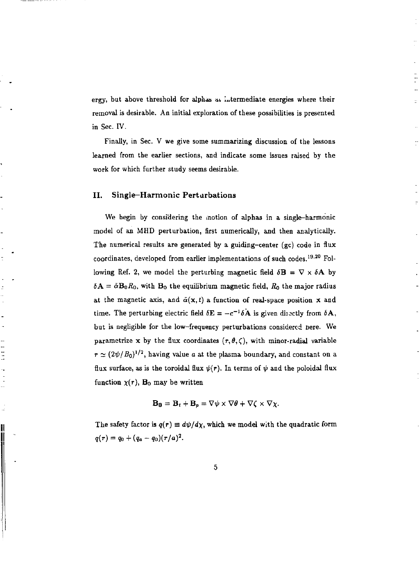ergy, but above threshold for alphas at intermediate energies where their removal is desirable. An initial exploration of these possibilities is presented in Sec. IV.

Finally, in Sec. V we give some summarizing discussion of the lessons learned from the earlier sections, and indicate some issues raised by the work for which further study seems desirable.

#### **II. Single—Harmonic Perturbations**

Ĵ

I

We begin by considering the motion of alphas in a single-harmonic model of an MHD perturbation, first numerically, and then analytically. The numerical results are generated by a guiding-center (gc) code in flux coordinates, developed from earlier implementations of such codes.<sup>19,20</sup> Following Ref. 2, we model the perturbing magnetic field  $\delta \mathbf{B} = \nabla \times \delta \mathbf{A}$  by  $\delta$ **A** =  $\tilde{\alpha}$ **B**<sub>0</sub> $R$ <sub>0</sub>, with **B**<sub>0</sub> the equilibrium magnetic field,  $R$ <sub>0</sub> the major radius at the magnetic axis, and  $\bar{\alpha}(x, t)$  a function of real-space position x and time. The perturbing electric field  $\delta E = -c^{-1}\delta A$  is given directly from  $\delta A$ , but is negligible for the low-frequency perturbations considered nere. We parametrize x by the flux coordinates  $(r, \theta, \zeta)$ , with minor-radial variable  $\tau \simeq (2\psi/B_0)^{1/2}$ , having value *a* at the plasma boundary, and constant on a flux surface, as is the toroidal flux  $\psi(r)$ . In terms of  $\psi$  and the poloidal flux function  $\chi(r)$ , B<sub>0</sub> may be written

$$
\mathbf{B_0} = \mathbf{B_t} + \mathbf{B_p} = \nabla \psi \times \nabla \theta + \nabla \zeta \times \nabla \chi.
$$

The safety factor is  $q(\tau) \equiv d\psi/d\chi$ , which we model with the quadratic form  $q(\tau) = q_0 + (q_a - q_0)(\tau/a)^2$ .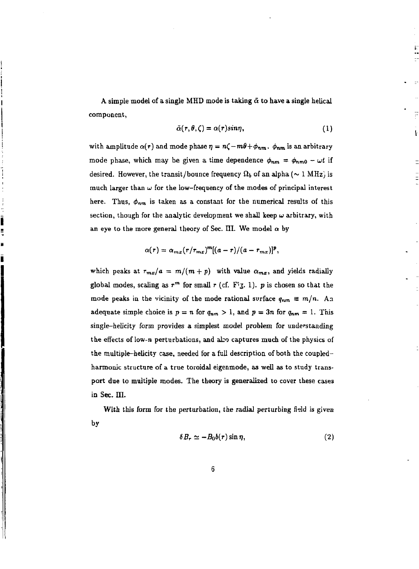A simple model of a single MHD mode is taking  $\tilde{\alpha}$  to have a single helical component,

$$
\tilde{\alpha}(r,\theta,\zeta)=\alpha(r)sin\eta,\qquad \qquad (1)
$$

with amplitude  $\alpha(r)$  and mode phase  $\eta = n\zeta - m\theta + \phi_{nm}$ *.*  $\phi_{nm}$  is an arbitrary mode phase, which may be given a time dependence  $\phi_{nm} = \phi_{nm0} - \omega t$  if desired. However, the transit/bounce frequency  $\Omega_b$  of an alpha ( $\sim 1 \text{ MHz}$ ) is much larger than  $\omega$  for the low-frequency of the modes of principal interest here. Thus,  $\phi_{nm}$  is taken as a constant for the numerical results of this section, though for the analytic development we shall keep  $\omega$  arbitrary, with an eye to the more general theory of Sec. III. We model  $\alpha$  by

$$
\alpha(r)=\alpha_{mx}(r/r_{mx})^m[(a-r)/(a-r_{mx})]^p,
$$

which peaks at  $r_{mx}/a = m/(m+p)$  with value  $\alpha_{mx}$ , and yields radially global modes, scaling as  $r^m$  for small  $r$  (cf. Fiz. 1).  $p$  is chosen so that the mode peaks in the vicinity of the mode rational surface  $q_{nm} \equiv m/n$ . An adequate simple choice is  $p = n$  for  $q_{nm} > 1$ , and  $p = 3n$  for  $q_{nm} = 1$ . This single-helicity form provides a simplest model problem for understanding the effects of low-n perturbations, and also captures much of the physics of the multiple-helicity case, needed for a full description of both the coupledharmonic structure of a true toroidal eigenmode, as well as to study transport due to multiple modes. The theory is generalized to cover these cases in Sec. III.

With this form for the perturbation, the radial perturbing field is given by

$$
\delta B_r \simeq -B_0 b(r) \sin \eta, \qquad (2)
$$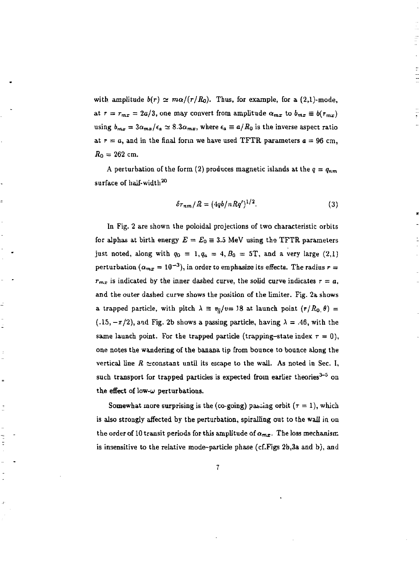with amplitude  $b(r) \simeq m\alpha/(r/R_0)$ . Thus, for example, for a (2,1)-mode, at  $r = r_{mx} = 2a/3$ , one may convert from amplitude  $\alpha_{mx}$  to  $b_{mx} \equiv b(r_{mx})$ using  $b_{mx} = 3a_{mx}/\epsilon_a \simeq 8.3a_{mx}$ , where  $\epsilon_a \equiv a/R_0$  is the inverse aspect ratio at  $r = a$ , and in the final form we have used TFTR parameters  $a = 96$  cm.  $R_0 = 262$  cm.

A perturbation of the form (2) produces magnetic islands at the  $q = q_{nm}$ surface of half-width<sup>20</sup>

$$
\delta r_{nm}/R = (4qb/nRq')^{1/2}.
$$
 (3)

In Fig. 2 are shown the poloidal projections of two characteristic orbits for alphas at birth energy  $E = E_0 = 3.5$  MeV using the TFTR parameters just noted, along with  $q_0 = 1, q_a = 4, B_0 = 5$ T, and a very large (2,1) perturbation ( $\alpha_{mx} = 10^{-3}$ ), in order to emphasize its effects. The radius  $r =$  $r_{mx}$  is indicated by the inner dashed curve, the solid curve indicates  $r = a$ , and the outer dashed curve shows the position of the limiter. Fig. 2a shows a trapped particle, with pitch  $\lambda \equiv v_{\parallel}/v=18$  at launch point  $(r/R_0, \theta)$  =  $(.15, -\pi/2)$ , and Fig. 2b shows a passing particle, having  $\lambda = .46$ , with the same launch point. For the trapped particle (trapping-state index  $r = 0$ ), one notes the wandering of the banana tip from bounce to bounce along the vertical line  $R \simeq$ constant until its escape to the wall. As noted in Sec. I, such transport for trapped particles is expected from earlier theories<sup>3–5</sup> on the effect of low- $\omega$  perturbations.

Ŀ

 $\overline{a}$ 

t

Somewhat more surprising is the (co-going) pasting orbit ( $\tau = 1$ ), which is also strongly affected by the perturbation, spiralling out to the wall in on the order of 10 transit periods for this amplitude of  $\alpha_{m,r}$ . The loss mechanism is insensitive to the relative mode-particle phase (cf.Figs 2b,3a and b), and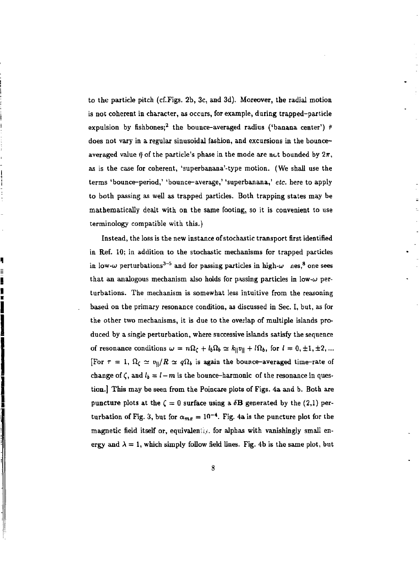to the particle pitch (cf.Figs. 2b, 3c, and 3d). Moreover, the radial motion is not coherent in character, as occurs, for example, during trapped-particle expulsion by fishbones;<sup>2</sup> the bounce-averaged radius ('banana center')  $\tilde{r}$ does not vary in a regular sinusoidal fashion, and excursions in the bounceaveraged value  $\bar{\eta}$  of the particle's phase in the mode are not bounded by  $2\pi$ , as is the case for coherent, 'superbanana'-type motion. (We shall use the terms 'bounce-period,' 'bounce-average,' 'superbanana,' *etc.* here to apply to both passing as well as trapped particles. Both trapping states may be mathematically dealt with on the same footing, so it is convenient to use terminology compatible with this.)

Instead, the loss is the new instance of stochastic transport first identified in Ref. 10; in addition to the stochastic mechanisms for trapped particles in low- $\omega$  perturbations<sup>3-5</sup> and for passing particles in high- $\omega$  nes,<sup>8</sup> one sees that an analogous mechanism also holds for passing particles in low- $\omega$  perturbations. The mechanism is somewhat less intuitive from the reasoning based on the primary resonance condition, as discussed in Sec. I, but, as for the other two mechanisms, it is due to the overlap of multiple islands produced by a single perturbation, where successive islands satisfy the sequence of resonance conditions  $\omega = n\Omega_c + l_b\Omega_b \simeq k_{\parallel}v_{\parallel} + l\Omega_b$ , for  $l = 0, \pm 1, \pm 2, \ldots$ [For  $\tau = 1$ ,  $\Omega_c \simeq v_0 / R \simeq q \Omega_b$  is again the bounce-averaged time-rate of change of  $\zeta$ , and  $l_b = l - m$  is the bounce-harmonic of the resonance in question.] This may be seen from the Poincare plots of Figs. 4a and b. Both are puncture plots at the  $\zeta = 0$  surface using a  $\delta$ **B** generated by the (2,1) perturbation of Fig. 3, but for  $\alpha_{\text{max}} = 10^{-4}$ . Fig. 4a is the puncture plot for the magnetic field itself or, equivalently, for alphas with vanishingly small energy and  $\lambda = 1$ , which simply follow field lines. Fig. 4b is the same plot, but

Ŋ

WW N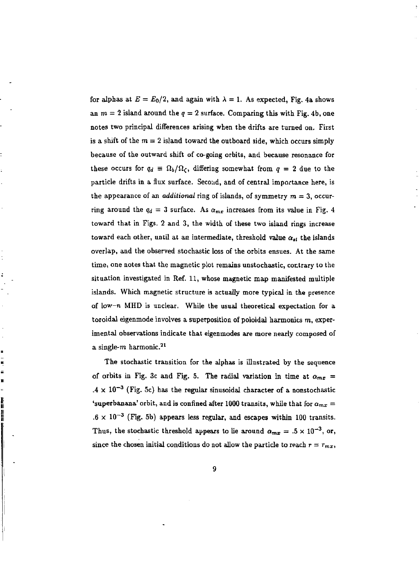for alphas at  $E = E_0/2$ , and again with  $\lambda = 1$ . As expected, Fig. 4a shows an  $m = 2$  island around the  $q = 2$  surface. Comparing this with Fig. 4b, one notes two principal differences arising when the drifts are turned on. First is a shift of the  $m = 2$  island toward the outboard side, which occurs simply because of the outward shift of co-going orbits, and because resonance for these occurs for  $q_d \equiv \Omega_b/\Omega_c$ , differing somewhat from  $q = 2$  due to the particle drifts in a flux surface. Second, and of central importance here, is the appearance of an *additional* ring of islands, of symmetry  $m = 3$ , occurring around the  $q_d = 3$  surface. As  $\alpha_{mx}$  increases from its value in Fig. 4 toward that in Figs. 2 and 3, the width of these two island rings increase toward each other, until at an intermediate, threshold value  $\alpha_{\star\star}$  the islands overlap, and the observed stochastic loss of the orbits ensues. At the same time, one notes that the magnetic plot remains unstochastic, contrary to the situation investigated in Ref. 11, whose magnetic map manifested multiple islands. Which magnetic structure is actually more typical in the presence of low- $n$  MHD is unclear. While the usual theoretical expectation for a toroidal eigenmode involves a superposition of poloidal harmonics  $m$ , experimental observations indicate that eigenmodes are more nearly composed of a single- $m$  harmonic.<sup>21</sup>

t

Ę

n,

׀׀<br>׀֟׀

The stochastic transition for the alphas is illustrated by the sequence of orbits in Fig. 3c and Fig. 5. The radial variation in time at  $a_{mx}$  =  $.4 \times 10^{-3}$  (Fig. 5c) has the regular sinusoidal character of a nonstochastic 'superbanana' orbit, and is confined after 1000 transits, while that for  $\alpha_{mx} =$  $.6 \times 10^{-3}$  (Fig. 5b) appears less regular, and escapes within 100 transits. Thus, the stochastic threshold appears to lie around  $\alpha_{mx} = .5 \times 10^{-3}$ , or, since the chosen initial conditions do not allow the particle to reach  $r = r_{mx}$ ,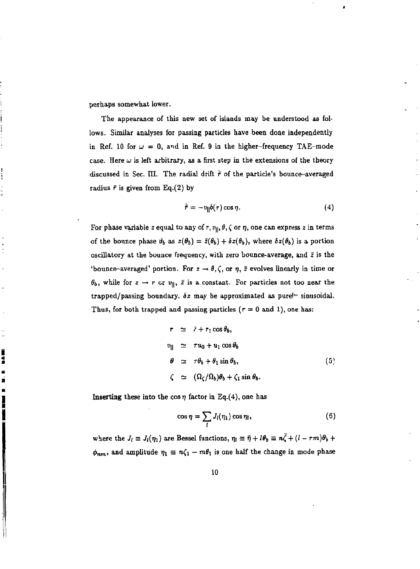perhaps somewhat lower.

 $\frac{1}{2}$ 

į . š  $\blacksquare$ 

The appearance of this new set of islands may be understood as follows. Similar analyses for passing particles have been done independently in Ref. 10 for  $\omega = 0$ , and in Ref. 9 in the higher-frequency TAE-mode case. Here  $\omega$  is left arbitrary, as a first step in the extensions of the theory discussed in Sec. III. The radial drift  $\dot{\bar{r}}$  of the particle's bounce-averaged radius  $\bar{r}$  is given from Eq.(2) by

$$
\dot{\bar{\tau}} = -v_{\parallel}b(\tau)\cos\eta. \tag{4}
$$

For phase variable z equal to any of r,  $v_{||}, \theta$ ,  $\zeta$  or  $\eta$ , one can express z in terms of the bounce phase  $\theta_b$  as  $z(\theta_b) = \tilde{z}(\theta_b) + \delta z(\theta_b)$ , where  $\delta z(\theta_b)$  is a portion oscillatory at the bounce frequency, with zero bounce-average, and *z* is the 'bounce-averaged' portion. For  $z \to \theta, \zeta$ , or  $\eta$ ,  $\bar{z}$  evolves linearly in time or  $\theta_b$ , while for  $z \to r$  or  $v_{\parallel}$ ,  $\bar{z}$  is a constant. For particles not too near the trapped/passing boundary, *6z* may be approximated as pure!" sinusoidal. Thus, for both trapped and passing particles ( $\tau = 0$  and 1), one has:

$$
r \simeq \bar{r} + r_1 \cos \theta_b,
$$
  
\n
$$
v_{\parallel} \simeq r u_0 + u_1 \cos \theta_b
$$
  
\n
$$
\theta \simeq r \theta_b + \theta_1 \sin \theta_b,
$$
  
\n
$$
\zeta \simeq (\Omega_c / \Omega_b) \theta_b + \zeta_1 \sin \theta_b.
$$
  
\n(5)

Inserting these into the cos  $\eta$  factor in Eq.(4), one has

$$
\cos \eta = \sum_{l} J_{l}(\eta_{1}) \cos \eta_{l}, \qquad (6)
$$

where the  $J_l \equiv J_l(\eta_1)$  are Bessel functions,  $\eta_l \equiv \bar{\eta} + l\theta_b \equiv n\bar{\zeta} + (l - \tau m)\theta_b +$ where the *Ji = Ji(r)\)* are Bessel functions, JJI = 77 + /0& *=* n£ + *(I* - rm)8i +  $\mathbf{r}$  and a state  $\mathbf{r}$  and  $\mathbf{r}$  and  $\mathbf{r}$  and  $\mathbf{r}$  is one half the change in  $\mathbf{r}$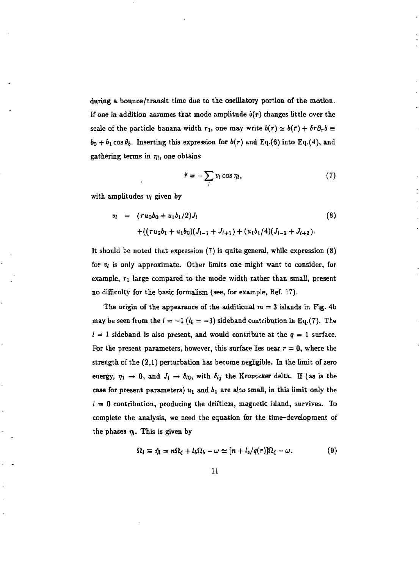during a bounce/transit time due to the oscillatory portion of the motion. If one in addition assumes that mode amplitude  $b(r)$  changes little over the scale of the particle banana width  $r_1$ , one may write  $b(r) \simeq b(\bar{r}) + \delta r \partial_r b$  $b_0 + b_1 \cos \theta_b$ . Inserting this expression for  $b(r)$  and Eq.(6) into Eq.(4), and gathering terms in  $\eta_l$ , one obtains

$$
\dot{\bar{r}} = -\sum_{i} v_i \cos \eta_i, \qquad (7)
$$

with amplitudes *vi* given by

$$
v_{l} = (ru_{0}b_{0} + u_{1}b_{1}/2)J_{l}
$$
\n
$$
+ ((ru_{0}b_{1} + u_{1}b_{0})(J_{l-1} + J_{l+1}) + (u_{1}b_{1}/4)(J_{l-2} + J_{l+2}).
$$
\n(8)

It should be noted that expression (7) is quite general, while expression (8) for *v\* is only approximate. Other limits one might want to consider, for example,  $r_1$  large compared to the mode width rather than small, present no difficulty for the basic formalism (see, for example, Ref. 17).

The origin of the appearance of the additional  $m = 3$  islands in Fig. 4b may be seen from the  $l = -1$  ( $l_b = -3$ ) sideband contribution in Eq.(7). The  $l = 1$  sideband is also present, and would contribute at the  $q = 1$  surface. For the present parameters, however, this surface lies near  $r = 0$ , where the strength of the (2,1) perturbation has become negligible. In the limit of zero energy,  $\eta_1 \rightarrow 0$ , and  $J_l \rightarrow \delta_{l0}$ , with  $\delta_{ij}$  the Kronccker delta. If (as is the case for present parameters)  $u_1$  and  $b_1$  are also small, in this limit only the  $l = 0$  contribution, producing the driftless, magnetic island, survives. To complete the analysis, we need the equation for the time-development of the phases  $\eta_l$ . This is given by

$$
\Omega_l \equiv \dot{\eta}_l = n\Omega_c + l_b\Omega_b - \omega \simeq [n + l_b/q(\tau)]\Omega_c - \omega. \tag{9}
$$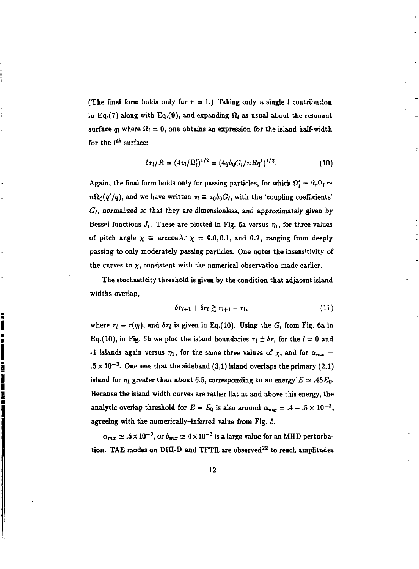(The final form holds only for  $\tau = 1$ .) Taking only a single *l* contribution in Eq.(7) along with Eq.(9), and expanding  $\Omega_l$  as usual about the resonant surface  $q_i$  where  $\Omega_i = 0$ , one obtains an expression for the island half-width for the *Ith* surface:

$$
\delta r_l/R = (4v_l/\Omega_l')^{1/2} = (4q b_0 G_l/n Rq')^{1/2}.
$$
 (10)

Again, the final form holds only for passing particles, for which  $\Omega'_l \equiv \partial_r \Omega_l \simeq$  $n\Omega_c(q'/q)$ , and we have written  $v_i \equiv u_0b_0G_t$ , with the 'coupling coefficients' *Gi,* normalized so that they are dimensionless, and approximately given by Bessel functions  $J_i$ . These are plotted in Fig. 6a versus  $\eta_1$ , for three values of pitch angle  $\chi \equiv \arccos \lambda$ ,  $\chi = 0.0, 0.1$ , and 0.2, ranging from deeply passing to only moderately passing particles. One notes the insens'tivity of the curves to  $\chi$ , consistent with the numerical observation made earlier.

The stochasticity threshold is given by the condition that adjacent island widths overlap,

$$
\delta r_{i+1} + \delta r_i \gtrsim r_{i+1} - r_i, \qquad (11)
$$

where  $r_l \equiv r(q_l)$ , and  $\delta r_l$  is given in Eq.(10). Using the  $G_l$  from Fig. 6a in Eq.(10), in Fig. 6b we plot the island boundaries  $r_i \pm \delta r_i$  for the  $l = 0$  and -1 islands again versus  $\eta_1$ , for the same three values of  $\chi$ , and for  $\alpha_{mx}$  =  $.5 \times 10^{-3}$ . One sees that the sideband (3,1) island overlaps the primary (2,1) island for  $\eta_1$  greater than about 6.5, corresponding to an energy  $E \simeq A5E_0$ . **Because** the island width curves are rather flat at and above this energy, the analytic overlap threshold for  $E = E_0$  is also around  $\alpha_{mx} = .4 - .5 \times 10^{-3}$ , agreeing with the numerically-inferred value from Fig. 5.

s ser a venir ser hadi bat kar e ser a venir ser

 $\alpha_{mx} \simeq .5 \times 10^{-3}$ , or  $b_{mx} \simeq 4 \times 10^{-3}$  is a large value for an MHD perturbation. TAE modes on DIII-D and TFTR are observed<sup>22</sup> to reach amplitudes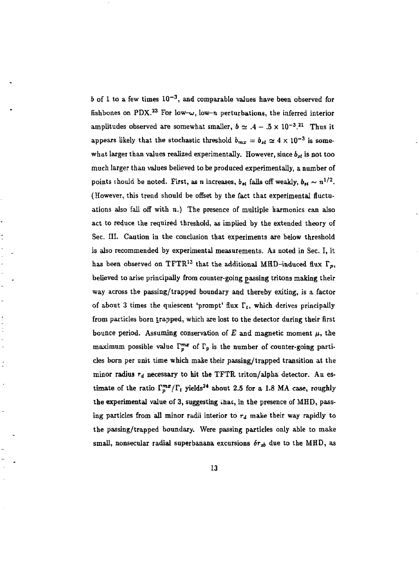b of 1 to a few times  $10^{-3}$ , and comparable values have been observed for fishbones on PDX.<sup>23</sup> For low- $\omega$ , low-n perturbations, the inferred interior amplitudes observed are somewhat smaller,  $b \approx .4 - .5 \times 10^{-3}$ .<sup>21</sup> Thus it appears likely that the stochastic threshold  $b_{mx} = b_{st} \simeq 4 \times 10^{-3}$  is somewhat larger than values realized experimentally. However, since  $b_{st}$  is not too much larger than values believed to be produced experimentally, a number of points should be noted. First, as *n* increases,  $b_{st}$  falls off weakly,  $b_{st} \sim n^{1/2}$ . (However, this trend should be offset by the fact that experimental fluctuations also fall off with  $n$ .) The presence of multiple harmonics can also act to reduce the required threshold, as implied by the extended theory of Sec. III. Caution in the conclusion that experiments are below threshold is also recommended by experimental measurements. As noted in Sec. I, it has been observed on  $TFTR^{13}$  that the additional MHD-induced flux  $\Gamma_p$ . believed to arise principally from counter-going passing tritons making their way across the passing/trapped boundary and thereby exiting, is a factor of about 3 times the quiescent 'prompt' flux  $\Gamma$ , which derives principally from particles born trapped, which are lost to the detector during their first bounce period. Assuming conservation of  $E$  and magnetic moment  $\mu$ , the maximum possible value  $\Gamma^{m}$  of  $\Gamma$  is the number of counter-going particles born per unit time which make their passing/trapped transition at the minor radius  $r_d$  necessary to hit the TFTR triton/alpha detector. An estimate of the ratio  $\Gamma^{mz}/\Gamma$ ,  $v_{\text{e}}$  ideals<sup>24</sup> about 2.5 for a 1.9 MA case, roughly the experimental value of 3, suggesting that, in the presence of MHD, passing particles from all minor radii interior to  $r_d$  make their way rapidly to the passing/trapped boundary. Were passing particles only able to make  $\sim$  11 persecular radial superbanana excursions for the to the MHD, as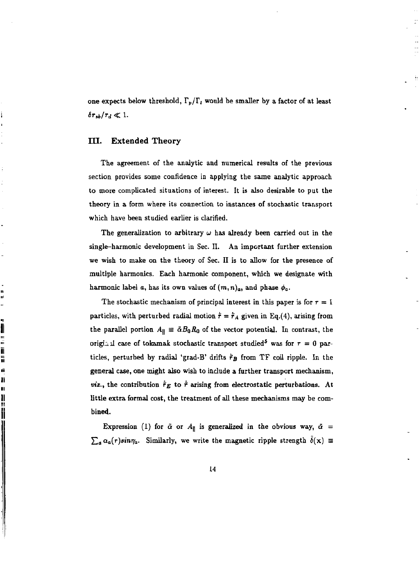one expects below threshold,  $\Gamma_p/\Gamma_t$  would be smaller by a factor of at least  $\delta r_{sb}/r_d \ll 1.$ 

### **III. Extended Theory**

د<br>پ

WHERE HE WAS ARRESTED FOR A SERIES OF A SERIES OF A SERIES OF A SERIES OF A SERIES OF A SERIES OF A SERIES OF A

The agreement of the analytic and numerical results of the previous section provides some confidence in applying the same analytic approach to more complicated situations of interest. It is also desirable to put the theory in a form where its connection to instances of stochastic transport which have been studied earlier is clarified.

The generalization to arbitrary  $\omega$  has already been carried out in the single-harmonic development in Sec. II. An important further extension we wish to make on the theory of Sec. II is to allow for the presence of multiple harmonics. Each harmonic component, which we designate with harmonic label *a*, has its own values of  $(m, n)$ <sub>*a*</sub>, and phase  $\phi_a$ .

The stochastic mechanism of principal interest in this paper is for  $\tau = 1$ particles, with perturbed radial motion  $\dot{\tau} = \dot{\tau}_A$  given in Eq.(4), arising from the parallel portion  $A_{\parallel} \equiv \bar{\alpha} B_0 R_0$  of the vector potential. In contrast, the original case of tokamak stochastic transport studied<sup>5</sup> was for  $\tau = 0$  particles, perturbed by radial 'grad-B' drifts  $\hat{r}_B$  from TF coil ripple. In the general case, one might also wish to include a further transport mechanism, *viz.*, the contribution  $\dot{\bar{r}}_E$  to  $\dot{\bar{r}}$  arising from electrostatic perturbations. At little extra formal cost, the treatment of all these mechanisms may be combined.

Expression (1) for  $\tilde{\alpha}$  or  $A_{\parallel}$  is generalized in the obvious way,  $\tilde{\alpha}$  =  $\sum_{a} \alpha_a(r) sin \eta_a$ . Similarly, we write the magnetic ripple strength  $\bar{\delta}(x) \equiv$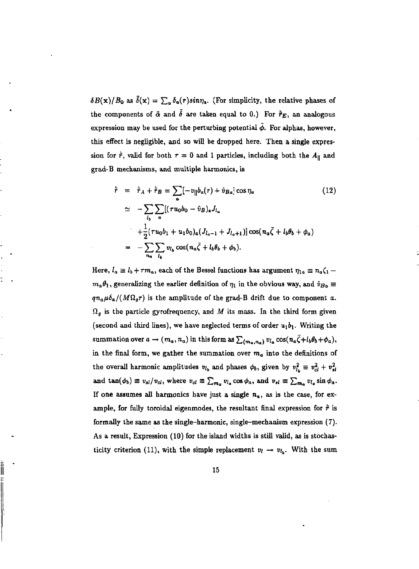$\delta B(\mathbf{x})/B_0$  as  $\delta(\mathbf{x}) = \sum_a \delta_a(\tau) sin\eta_a$ . (For simplicity, the relative phases of the components of  $\tilde{\alpha}$  and  $\tilde{\delta}$  are taken equal to 0.) For  $\dot{\tilde{\tau}}_E$ , an analogous expression may be used for the perturbing potential  $\tilde{\phi}$ . For alphas, however, this effect is negligible, and so will be dropped here. Then a single expression for  $\dot{\bar{r}}$ , valid for both  $\tau = 0$  and 1 particles, including both the  $A_{\parallel}$  and grad-B mechanisms, and multiple harmonics, is

$$
\dot{\bar{r}} = \dot{\bar{r}}_A + \dot{\bar{r}}_B = \sum_a [-v_{\parallel}b_a(r) + \hat{v}_{Ba}] \cos \eta_a
$$
\n
$$
\simeq -\sum_{l_b} \sum_a [(\tau u_0 b_0 - \hat{v}_B)_a J_{l_a} + \frac{1}{2} (\tau u_0 b_1 + u_1 b_0)_a (J_{l_a-1} + J_{l_a+1})] \cos(\eta_a \bar{\zeta} + l_b \theta_b + \phi_a)
$$
\n
$$
= -\sum_{n_a} \sum_{l_b} v_{l_b} \cos(\eta_a \bar{\zeta} + l_b \theta_b + \phi_b).
$$
\n(12)

Here,  $l_a \equiv l_b + \tau m_a$ , each of the Bessel functions has argument  $\eta_{1a} \equiv n_a \zeta_1 - \tau_m$  $m_a\theta_1,$  generalizing the earlier definition of  $\eta_1$  in the obvious way, and  $\hat{v}_{Ba}\equiv 0$  $qn_a\mu\delta_a/(M\Omega_g r)$  is the amplitude of the grad-B drift due to component a.  $\Omega_g$  is the particle gyrofrequency, and *M* its mass. In the third form given (second and third lines), we have neglected terms of order  $u_1b_1$ . Writing the summation over  $a \to (m_a, n_a)$  in this form as  $\sum_{(m_a, n_a)} v_{l_a} \cos(n_a \bar{\zeta} + l_b \theta_b + \phi_a),$ in the final form, we gather the summation over *m<sup>a</sup>* into the definitions of the overall harmonic amplitudes  $v_{l_b}$  and phases  $\phi_b$ , given by  $v_{l_b}^2 \equiv v_{cl}^2 + v_{sl}^2$ and  $\tan(\phi_b) \equiv v_{si}/v_{ci}$ , where  $v_{ci} \equiv \sum_{m_a} v_{i_a} \cos \phi_a$ , and  $v_{si} \equiv \sum_{m_a} v_{i_a} \sin \phi_a$ . If one assumes all harmonics have just a single  $n_a$ , as is the case, for example, for fully toroidal eigenmodes, the resultant final expression for  $\dot{\bar{r}}$  is formally the same as the single-harmonic, single-mechanism expression (7). As a result, Expression (10) for the island widths is still valid, as is stochasticity criterion (11), with the simple replacement  $v_l \rightarrow v_{l_b}$ . With the sum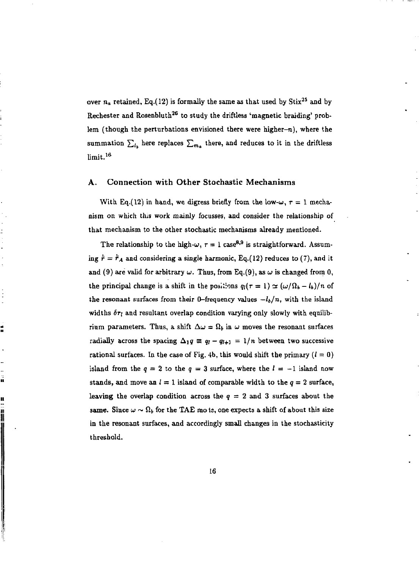over  $n_a$  retained, Eq.(12) is formally the same as that used by  $\mathrm{Stix}^{25}$  and by Rechester and Rosenbluth<sup>26</sup> to study the driftless 'magnetic braiding' problem (though the perturbations envisioned there were higher- $n$ ), where the summation  $\sum_{l_k}$  here replaces  $\sum_{m_k}$  there, and reduces to it in the driftless limit.<sup>16</sup>

#### **A. Connection with Other Stochastic Mechanisms**

With Eq.(12) in hand, we digress briefly from the low- $\omega$ ,  $\tau = 1$  mechanism on which this work mainly focusses, and consider the relationship of that mechanism to the other stochastic mechanisms already mentioned.

The relationship to the high- $\omega, \tau = 1$  case<sup>8,9</sup> is straightforward. Assuming  $\dot{\bar{r}} = \dot{\bar{r}}_A$  and considering a single harmonic, Eq.(12) reduces to (7), and it and (9) are valid for arbitrary  $\omega$ . Thus, from Eq.(9), as  $\omega$  is changed from 0, the principal change is a shift in the positions  $q_i(\tau = 1) \simeq (\omega/\Omega_b - l_b)/n$  of the resonant surfaces from their 0-frequency values  $-l_b/n$ , with the island widths  $\delta r_l$  and resultant overlap condition varying only slowly with equilibrium parameters. Thus, a shift  $\Delta\omega = \Omega_b$  in  $\omega$  moves the resonant surfaces radially across the spacing  $\Delta_1 q \equiv q_i - q_{i+1} = 1/n$  between two successive rational surfaces. In the case of Fig. 4b, this would shift the primary  $(l = 0)$ island from the  $q = 2$  to the  $q = 3$  surface, where the  $l = -1$  island now stands, and move an  $l = 1$  island of comparable width to the  $q = 2$  surface, leaving the overlap condition across the  $q = 2$  and 3 surfaces about the same. Since  $\omega \sim \Omega_b$  for the TAE mots, one expects a shift of about this size in the resonant surfaces, and accordingly small changes in the stochasticity threshold.

Í

ã

!!<br>!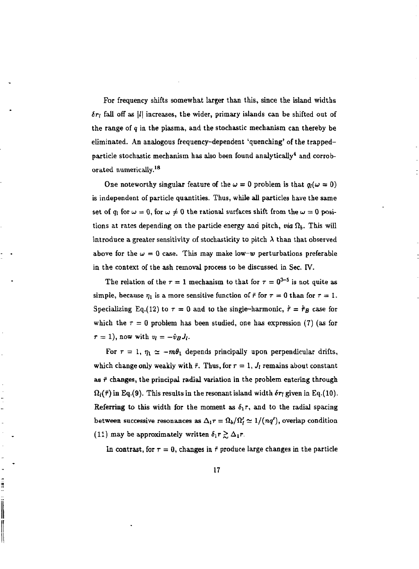For frequency shifts somewhat larger than this, since the island widths *Sri* fall off as |/| increases, the wider, primary islands can be shifted out of the range of *q* in the plasma, and the stochastic mechanism can thereby be eliminated. An analogous frequency-dependent 'quenching' of the trappedparticle stochastic mechanism has also been found analytically $^{\text{4}}$  and corroborated numerically.<sup>18</sup>

One noteworthy singular feature of the  $\omega = 0$  problem is that  $q_i(\omega = 0)$ is independent of particle quantities. Thus, while all particles have the same set of  $q_i$  for  $\omega = 0$ , for  $\omega \neq 0$  the rational surfaces shift from the  $\omega = 0$  positions at rates depending on the particle energy and pitch, *via*  $\Omega_b$ . This will introduce a greater sensitivity of stochasticity to pitch  $\lambda$  than that observed above for the  $\omega = 0$  case. This may make low-w perturbations preferable in the context of the ash removal process to be discussed in Sec. IV.

The relation of the  $\tau = 1$  mechanism to that for  $\tau = 0^{3-5}$  is not quite as simple, because  $\eta_1$  is a more sensitive function of  $\bar{r}$  for  $\tau = 0$  than for  $\tau = 1$ . Specializing Eq.(12) to  $\tau = 0$  and to the single-harmonic,  $\dot{\tau} = \dot{\tau}_B$  case for which the  $\tau = 0$  problem has been studied, one has expression (7) (as for  $\tau = 1$ , now with  $v_i = -\hat{v}_B J_i$ .

For  $\tau = 1$ ,  $\eta_1 \simeq -m\theta_1$  depends principally upon perpendicular drifts, which change only weakly with  $\bar{r}$ . Thus, for  $r = 1$ ,  $J_i$  remains about constant as  $\tilde{r}$  changes, the principal radial variation in the problem entering through  $\Omega_l(\bar{r})$  in Eq.(9). This results in the resonant island width  $\delta r_l$  given in Eq.(10). Referring to this width for the moment as  $\delta_1 r$ , and to the radial spacing between successive resonances as  $\Delta_1 r = \Omega_b/\Omega'_l \simeq 1/(nq')$ , overlap condition (11) may be approximately written  $\delta_1 r \gtrsim \Delta_1 r$ .

In contrast, for  $\tau = 0$ , changes in  $\vec{r}$  produce large changes in the particle

į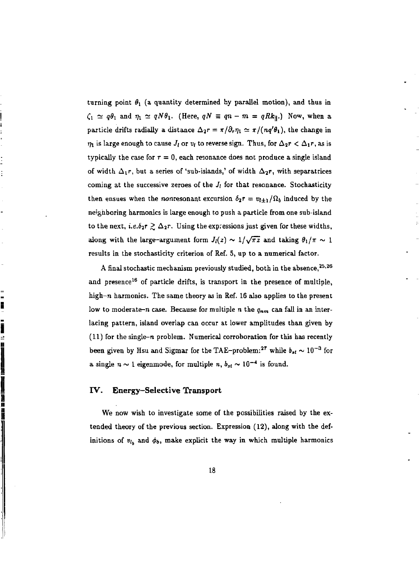turning point  $\theta_1$  (a quantity determined by parallel motion), and thus in  $\zeta_1 \simeq q\theta_1$  and  $\eta_1 \simeq qN\theta_1$ . (Here,  $qN \equiv qn - m = qRk_{\parallel}$ .) Now, when a particle drifts radially a distance  $\Delta_2 r = \pi/\partial_r \eta_1 \simeq \pi/(\eta q' \theta_1)$ , the change in  $\eta_1$  is large enough to cause  $J_l$  or  $v_l$  to reverse sign. Thus, for  $\Delta_2 r < \Delta_1 r$ , as is typically the case for  $r = 0$ , each resonance does not produce a single island of width  $\Delta_1 r$ , but a series of 'sub-islands,' of width  $\Delta_2 r$ , with separatrices coming at the successive zeroes of the  $J_i$  for that resonance. Stochasticity then ensues when the nonresonant excursion  $\delta_2r = v_{l\pm 1}/\Omega_b$  induced by the neighboring harmonics is large enough to push a particle from one sub-island to the next, *i.e.* $\delta_2 r \gtrsim \Delta_2 r$ . Using the expressions just given for these widths, along with the large-argument form  $J_l(z) \sim 1/\sqrt{\pi z}$  and taking  $\theta_1/\pi \sim 1$ results in the stochasticity criterion of Ref. 5, up to a numerical factor.

A final stochastic mechanism previously studied, both in the absence, $^{25,26}$ and presence<sup>16</sup> of particle drifts, is transport in the presence of multiple, high- $n$  harmonics. The same theory as in Ref. 16 also applies to the present low to moderate-n case. Because for multiple n the  $q_{nm}$  can fall in an interlacing pattern, island overlap can occur at lower amplitudes than given by (11) for the single-n problem. Numerical corroboration for this has recently been given by Hsu and Sigmar for the TAE-problem:<sup>27</sup> while  $b_{st} \sim 10^{-3}$  for a single  $n \sim 1$  eigenmode, for multiple *n*,  $b_{st} \sim 10^{-4}$  is found.

#### **IV. Energy-Selective Transport**

= E

i

We now wish to investigate some of the possibilities raised by the extended theory of the previous section. Expression (12), along with the definitions of  $v_{i_h}$  and  $\phi_b$ , make explicit the way in which multiple harmonics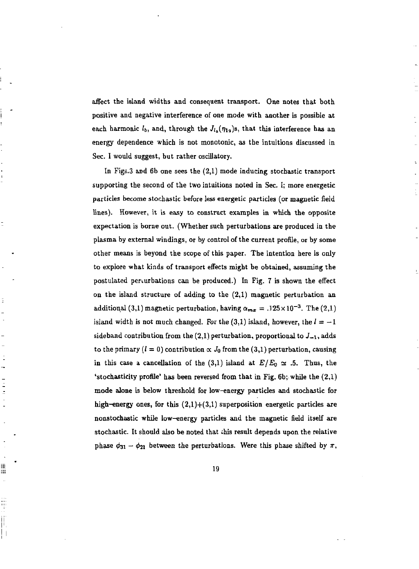affect the island widths and consequent transport. One notes that both positive and negative interference of one mode with another is possible at each harmonic  $l_b$ , and, through the  $J_{l_a}(\eta_{1a})$ s, that this interference has an energy dependence which is not monotonic, as the intuitions discussed in Sec. I would suggest, but rather oscillatory.

In Figs.3 and 6b one sees the  $(2,1)$  mode inducing stochastic transport supporting the second of the two intuitions noted in Sec. I; more energetic particles become stochastic before less energetic particles (or magnetic field lines). However, it is easy to construct examples in which the opposite expectation is borne out. (Whether such perturbations are produced in the plasma by external windings, or by control of the current profile, or by some other means is beyond the scope of this paper. The intention here is only to explore what kinds of transport effects might be obtained, assuming the postulated perturbations can be produced.) In Fig. 7 is shown the effect on the island structure of adding to the (2,1) magnetic perturbation an additional (3,1) magnetic perturbation, having  $\alpha_{\text{max}} = .125 \times 10^{-3}$ . The (2,1) island width is not much changed. For the  $(3,1)$  island, however, the  $l=-1$ sideband contribution from the  $(2,1)$  perturbation, proportional to  $J_{-1}$ , adds to the primary  $(l = 0)$  contribution  $\propto J_0$  from the (3,1) perturbation, causing in this case a cancellation of the (3.1) island at  $E/E_0 \approx .5$ . Thus, the 'stochasticity profile' has been reversed from that in Fig. 6b; while the (2,1) mode alone is below threshold for low-energy particles and stochastic for high-energy ones, for this  $(2,1)+(3,1)$  superposition energetic particles are nonstochastic while low-energy particles and the magnetic field itself are stochastic. It should also be noted that this result depends upon the relative phase  $\phi_{31} - \phi_{21}$  between the perturbations. Were this phase shifted by  $\pi$ ,

Ξ

iii) 謂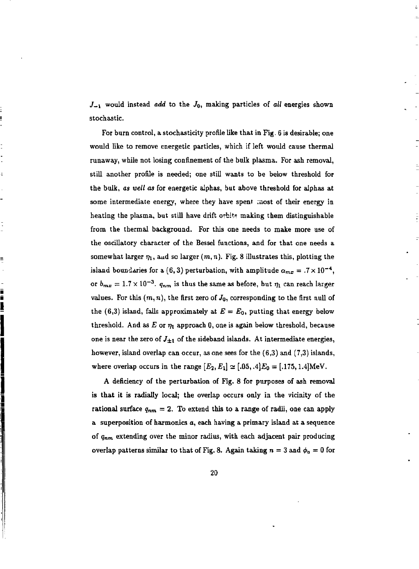$J_{-1}$  would instead *add* to the  $J_0$ , making particles of *all* energies shown stochastic.

For burn control, a stochasticity profile like that in Fig. 6 is desirable; one would like to remove energetic particles, which if left would cause thermal runaway, while not losing confinement of the bulk plasma. For ash removal, still another profile is needed; one still wants to be below threshold for the bulk, *as well as* for energetic alphas, but above threshold for alphas at some intermediate energy, where they have spent most of their energy in heating the plasma, but still have drift orbits making them distinguishable from the thermal background. For this one needs to make more use of the oscillatory character of the Bessel functions, and for that one needs a somewhat larger  $\eta_1$ , and so larger  $(m, n)$ . Fig. 8 illustrates this, plotting the island boundaries for a (6,3) perturbation, with amplitude  $\alpha_{m\pi} = .7 \times 10^{-4}$ , or  $b_{m\tau} = 1.7 \times 10^{-3}$ ,  $a_{n\tau}$  is thus the same as before, but  $n_i$  can reach larger values. For this  $(m, n)$ , the first zero of  $J_0$ , corresponding to the first null of the  $(6,3)$  island, falls approximately at  $E = E_0$ , putting that energy below threshold. And as E or  $\eta_1$  approach 0, one is again below threshold, because one is near the zero of  $J_{\pm 1}$  of the sideband islands. At intermediate energies, however, island overlap can occur, as one sees for the (6,3) and (7,3) islands, where overlap occurs in the range  $[E_2, E_1] \simeq [.05, .4]E_0 = [.175, 1.4] \text{MeV}.$ 

 $\equiv$ 

- n n n n n n n

A deficiency of the perturbation of Fig. 8 for purposes of ash removal is that it is radially local; the overlap occurs only in the vicinity of the rational surface  $q_{nm} = 2$ . To extend this to a range of radii, one can apply a superposition of harmonics *a,* each having a primary island at a sequence of *Qnm* extending over the minor radius, with each adjacent pair producing overlap patterns similar to that of Fig. 8. Again taking  $n = 3$  and  $\phi_n = 0$  for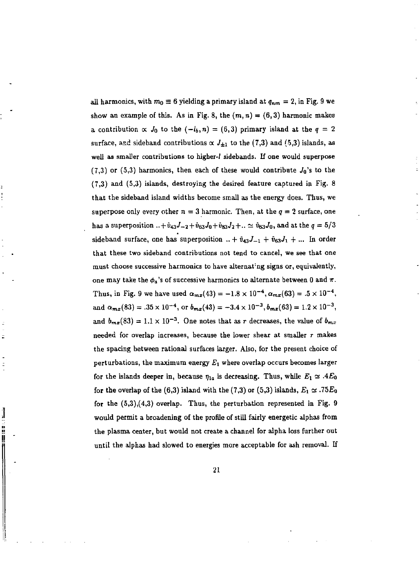all harmonics, with  $m_0 \equiv 6$  yielding a primary island at  $q_{nm} = 2$ , in Fig. 9 we show an example of this. As in Fig. 8, the  $(m, n) = (6, 3)$  harmonic makes a contribution  $\propto J_0$  to the  $(-l_b, n) = (6, 3)$  primary island at the  $q = 2$ surface, and sideband contributions  $\propto J_{\pm 1}$  to the (7,3) and (5,3) islands, as well as smaller contributions to higher-/ sidebands. If one would superpose (7,3) or (5,3) harmonics, then each of these would contribute  $J_0$ 's to the (7,3) and (5,3) islands, destroying the desired feature captured in Fig. 8 that the sideband island widths become small as the energy does. Thus, we superpose only every other  $n = 3$  harmonic. Then, at the  $q = 2$  surface, one has a superposition  $. + \hat{v}_{43}J_{-2} + \hat{v}_{63}J_0 + \hat{v}_{83}J_2 + \ldots \simeq \hat{v}_{63}J_0$ , and at the  $q = 5/3$ sideband surface, one has superposition  $... + \hat{v}_{43}J_{-1} + \hat{v}_{63}J_1 + ...$  In order that these two sideband contributions not tend to cancel, we see that one must choose successive harmonics to have alternating signs or, equivalently, one may take the  $\phi_a$ 's of successive harmonics to alternate between 0 and  $\pi$ . Thus, in Fig. 9 we have used  $\alpha_{\text{max}}(43) = -1.8 \times 10^{-4}$ ,  $\alpha_{\text{max}}(63) = .5 \times 10^{-4}$ . and  $\alpha_{-}$  (83) = .35 x 10<sup>-4</sup>, or  $b_{-}$  (43) = -3.4 x 10<sup>-3</sup>,  $b_{-}$  (63) = 1.2 x 10<sup>-3</sup>. and  $b_{\text{max}}(83) = 1.1 \times 10^{-3}$ . One notes that as r decreases, the value of  $b_{\text{max}}$ needed for overlap increases, because the lower shear at smaller *r* makes the spacing between rational surfaces larger. Also, for the present choice of perturbations, the maximum energy  $E_1$  where overlap occurs becomes larger for the islands deeper in, because  $r_i$ , is decreasing. Thus, while  $F_i \sim 4F_o$ for the overlap of the  $(6,3)$  island with the  $(7,3)$  or  $(5,3)$  islands,  $F_x \sim 75F_x$ . for the  $(5,3),(4,3)$  overlap. Thus, the perturbation represented in Fig. 9 would permit a broadening of the profile of still fairly energetic alphas from the plasma center, but would not create a channel for alpha loss further out until the alphas had slowed to energies more acceptable for ash removal. If

í

Ì.

21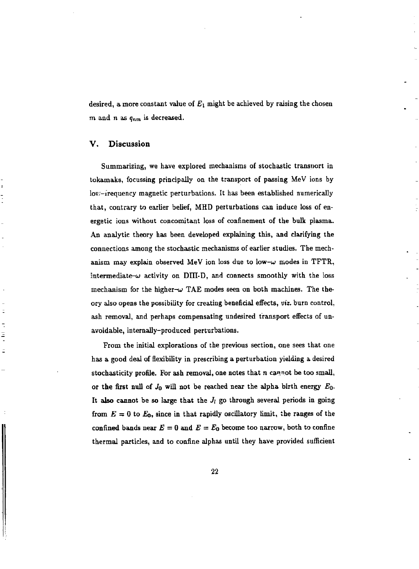desired, a more constant value of  $E_1$  might be achieved by raising the chosen m and n as  $q_{nm}$  is decreased.

#### **V. Discussion**

Ξ

Summarizing, we have explored mechanisms of stochastic transport in tokamaks, focussing principally on the transport of passing MeV ions by lov;-irequency magnetic perturbations. It has been established numerically that, contrary to earlier belief, MHD perturbations can induce loss of energetic ions without concomitant loss of confinement of the bulk plasma. An analytic theory has been developed explaining this, and clarifying the connections among the stochastic mechanisms of earlier studies. The mechanism may explain observed MeV ion loss due to low- $\omega$  modes in TFTR, intermediate- $\omega$  activity on DIII-D, and connects smoothly with the loss mechanism for the higher- $\omega$  TAE modes seen on both machines. The theory also opens the possibility for creating beneficial effects, *viz.* burn control, ash removal, and perhaps compensating undesired transport effects of unavoidable, internally-produced perturbations.

From the initial explorations of the previous section, one sees that one has a good deal of flexibility in prescribing a perturbation yielding a desired stochasticity profile. For ash removal, one notes that  $n$  cannot be too small, or the first null of *JQ* will not be reached near the alpha birth energy *EQ.*  It also cannot be so large that the  $J_i$  go through several periods in going from  $E = 0$  to  $E_0$ , since in that rapidly oscillatory limit, the ranges of the confined bands near  $E = 0$  and  $E = E_0$  become too narrow, both to confine thermal particles, and to confine alphas until they have provided sufficient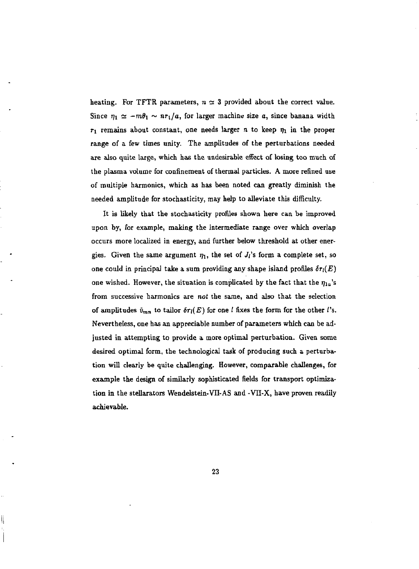heating. For TFTR parameters,  $n \approx 3$  provided about the correct value. Since  $\eta_1 \simeq -m\theta_1 \sim n r_1/a$ , for larger machine size a, since banana width  $r_1$  remains about constant, one needs larger n to keep  $\eta_1$  in the proper range of a few times unity. The amplitudes of the perturbations needed are also quite large, which has the undesirable effect of losing too much of the plasma volume for confinement of thermal particles. A more refined use of multiple harmonics, which as has been noted can greatly diminish the needed amplitude for stochasticity, may help to alleviate this difficulty.

It is likely that the stochasticity profiles shown here can be improved upon by, for example, making the intermediate range over which overlap occurs more localized in energy, and further below threshold at other energies. Given the same argument  $\eta_1$ , the set of  $J_i$ 's form a complete set, so one could in principal take a sum providing any shape island profiles  $\delta r_l(E)$ one wished. However, the situation is complicated by the fact that the  $\eta_{1a}$ 's from successive harmonics are *not* the same, and also that the selection of amplitudes  $\hat{v}_{mn}$  to tailor  $\delta r_l(E)$  for one *l* fixes the form for the other *l*'s. Nevertheless, one has an appreciable number of parameters which can be adjusted in attempting to provide a more optimal perturbation. Given some desired optimal form, the technological task of producing such a perturbation will clearly be quite challenging. However, comparable challenges, for example the design of similarly sophisticated fields for transport optimization in the stellarators Wendelstein-VII-AS and -VH-X, have proven readily achievable.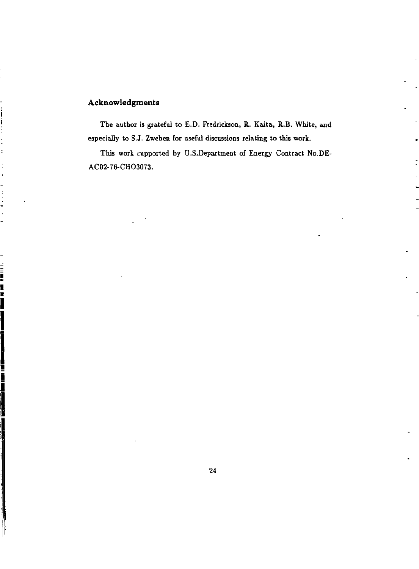## **Acknowledgments**

FILE REAL

The author is grateful to E.D. Fredrickson, R. Kaita, R.B. White, and especially to S.J. Zweben for useful discussions relating to this work.

ä

This work supported by U.S.Department of Energy Contract No.DE-AC02-76-CHO3073.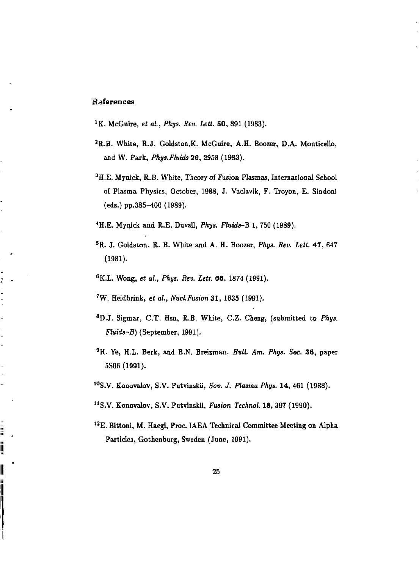### **References**

į  $\overline{a}$ Î.

Î į

||<br>||<br>||

<sup>1</sup>K. McGuire, et al., Phys. Rev. Lett. 50, 891 (1983).

- <sup>2</sup>R.B. White, R.J. Goldston.K. McGuire, A.H. Boozer, D.A. Monticello, and W. Park, *Phys.Fluids* 26, 2958 (1983).
- <sup>3</sup>H.E. Mynick, R.B. White, Theory of Fusion Plasmas, International School of Plasma Physics, October, 1988, J. Vaclavik, F. Troyon, E. Sindoni (eds.) pp.385-400 (1989).
- <sup>4</sup>H.E. Mynick and R.E. Duvall, *Phys. Fluids-B* 1, 750 (1989).
- <sup>5</sup>R. J. Goldston, R. B. White and A. H. Boozer, *Phys. Rev. Lett.* 47, 647 (1981).
- <sup>6</sup>K.L. Wong, et al., Phys. Rev. Lett. 66, 1874 (1991).
- <sup>7</sup>W. Heidbrink, *et al., Nucl. Fusion 31,* 1635 (1991).
- <sup>8</sup>D.J. Sigmar, C.T. Hsu, R.B. White, C.Z. Cheng, (submitted to *Phys. Fluids-B)* (September, 1991).
- <sup>9</sup>H. Ye, H.L. Berk, and B.N. Breizman, *Bull. Am. Phys. Soc.* 36, paper 5S06 (1991).
- 1 0S.V. Konovalov, S.V. Putvinskii, *Sov. J. Plasma Phys.* 14, 461 (1988).
- <sup>11</sup>S.V. Konovalov, S.V. Putvinskii, *Fusion Technol*. 18, 397 (1990).
- <sup>12</sup>E. Bittoni, M. Haegi, Proc. IAEA Technical Committee Meeting on Alpha Particles, Gothenburg, Sweden (June, 1991).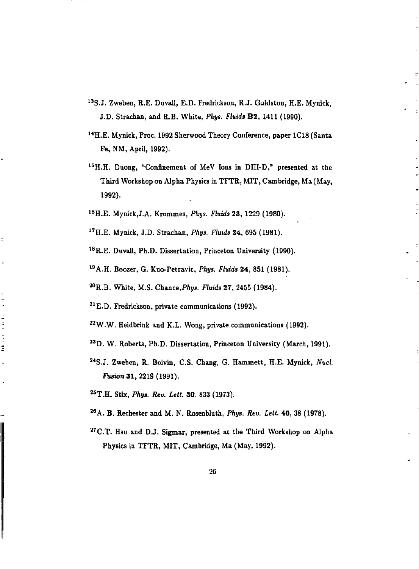- <sup>13</sup>S.J. Zweben, R.E. Duvall, E.D. Fredrickson, R.J. Goldston, H.E. Mynick, J.D. Strachan, and R.B. White, *Phys. Fluids* B2, 1411 (1990).
- <sup>14</sup>H.E. Mynick, Proc. 1992 Sherwood Theory Conference, paper 1C18 (Santa Fe, NM, April, 1992).
- 1 5H.H. Duong, "Confinement of MeV Ions in DIII-D," presented at the Third Workshop on Alpha Physics in TFTR, MIT, Cambridge, Ma (May, 1992).
- 1 6H.E. Mynick,J.A. Krommes, *Phys. Fluids* 23, 1229 (1980).
- X TH.E. Mynick, J.D. Strachan, *Phys. Fluids* 24, 695 (1981).

Ė

 $\frac{1}{2}$ 

计目标

Í

<sup>18</sup>R.E. Duvall, Ph.D. Dissertation, Princeton University (1990).

1 9A.H. Boozer, G. Kuo-Petravic, *Phys. Fluids* 24, 851 (1981).

<sup>20</sup>R.B. White, M.S. Chance, *Phys. Fluids* 27, 2455 (1984).

<sup>21</sup> E.D. Fredrickson, private communications (1992).

2 2W.W. Heidbrink and K.L. Wong, private communications (1992).

- <sup>23</sup>D. W. Roberts, Ph.D. Dissertation, Princeton University (March, 1991).
- 3 4S.J. Zweben, R. Boivin, C.S. Chang, G. Hammett, H.E. Mynick, *Nucl. Fusion* 31, 2219 (1991).

<sup>M</sup> T.H. Stix, *Phys. Rev. Lett.* 30, 833 (1973).

- <sup>26</sup>A. B. Rechester and M. N. Rosenbluth, *Phys. Rev. Lett.* 40, 38 (1978).
- $27$ C.T. Hsu and D.J. Sigmar, presented at the Third Workshop on Alpha Physics in TFTR, MIT, Cambridge, Ma (May, 1992).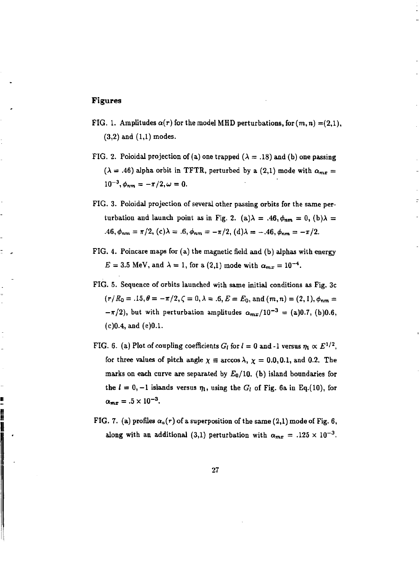#### **Figures**

▌▏▏▏▏▏▏▏▏▏▏▏▏▏▏▏▏▏▏▏▏▏▏▏*▏* 

- FIG. 1. Amplitudes  $\alpha(r)$  for the model MHD perturbations, for  $(m, n) = (2,1)$ , (3,2) and (1,1) modes.
- FIG. 2. Poloidal projection of (a) one trapped  $(\lambda = .18)$  and (b) one passing  $(\lambda = .46)$  alpha orbit in TFTR, perturbed by a (2,1) mode with  $\alpha_{mx} =$  $10^{-3}, \phi_{nm} = -\pi/2, \omega = 0.$
- FIG. 3. Poloidal projection of several other passing orbits for the same perturbation and launch point as in Fig. 2. (a)  $\lambda = .46$ ,  $\phi_{nm} = 0$ , (b)  $\lambda =$  $.46, \phi_{nm} = \pi/2$ , (c) $\lambda = .6, \phi_{nm} = -\pi/2$ , (d) $\lambda = -.46, \phi_{nm} = -\pi/2$ .
- FIG. 4. Poincare maps for (a) the magnetic field and (b) alphas with energy  $E = 3.5$  MeV, and  $\lambda = 1$ , for a (2,1) mode with  $\alpha_{mx} = 10^{-4}$ .
- FIG. 5. Sequence of orbits launched with same initial conditions as Fig. 3c  $(r/R_0 = .15, \theta = -\pi/2, \zeta = 0, \lambda = .6, E = E_0, \text{ and } (m, n) = (2, 1), \phi_{nm} =$  $-\pi/2$ , but with perturbation amplitudes  $\alpha_{m} (10^{-3} = (a)0.7, (b)0.6,$ (c)0.4, and (e)0.1.
- FIG. 6. (a) Plot of coupling coefficients  $G_l$  for  $l = 0$  and -1 versus  $\eta_1 \propto E^{1/2}$ , for three values of pitch angle  $\chi \equiv \arccos \lambda$ ,  $\chi = 0.0, 0.1$ , and 0.2. The marks on each curve are separated by  $E_0/10$ . (b) island boundaries for the  $l = 0, -1$  islands versus  $\eta_1$ , using the  $G_l$  of Fig. 6a in Eq.(10), for  $\alpha_{\rm m} = .5 \times 10^{-3}$ .
- FIG. 7. (a) profiles  $\alpha_a(r)$  of a superposition of the same (2,1) mode of Fig. 6, along with an additional (3,1) perturbation with  $\alpha_{m}z = .125 \times 10^{-3}$ .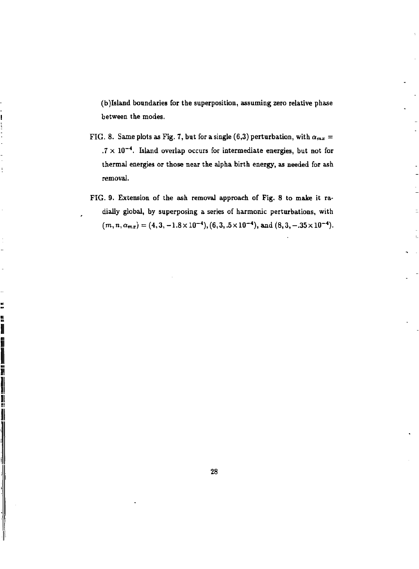(b)Island boundaries for the superposition, assuming zero relative phase between the modes.

- FIG. 8. Same plots as Fig. 7, but for a single (6,3) perturbation, with  $\alpha_{mx}$  = .7  $\times$  10<sup>-4</sup>. Island overlap occurs for intermediate energies, but not for thermal energies or those near the alpha birth energy, as needed for ash removal.
- FIG. 9. Extension of the ash removal approach of Fig. 8 to make it radially global, by superposing a series of harmonic perturbations, with  $(m, n, \alpha_{mx}) = (4, 3, -1.8 \times 10^{-4}), (6, 3, .5 \times 10^{-4}),$  and  $(8, 3, -.35 \times 10^{-4}).$

whether the computation of the computation of the computation of the computation of the computation of the computation of the computation of the computation of the computation of the computation of the computation of the c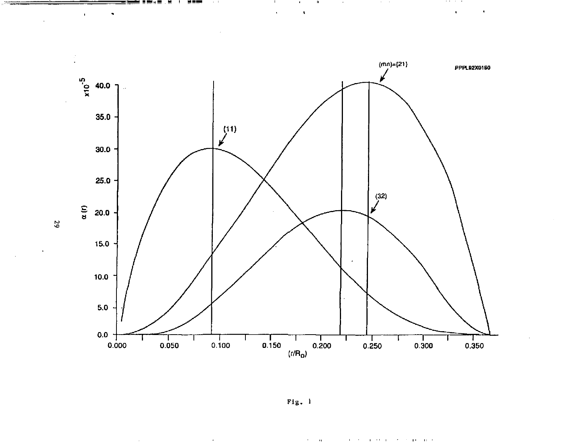

 $\mathbf{u}$ 

 $\ddot{\phantom{0}}$ 

 $\sim$ 

. . . .  $\hat{\mathbf{r}}$ 

 $\bullet$ 

**ALC: U** 

 $\cdot$ 

 $\tilde{a}$ 

 $\bullet$ 

 $\mathbf{r}$ 

Fig.  $1$ 

 $\bar{\alpha}$ 

 $\mathbf{r} = \mathbf{r}$ 

 $\mathbf{1}=\mathbf{1}+\mathbf{1}=\mathbf{1}$  .

 $\mathcal{F}=\mathcal{F}$  , and  $\mathcal{F}=\mathcal{F}$  and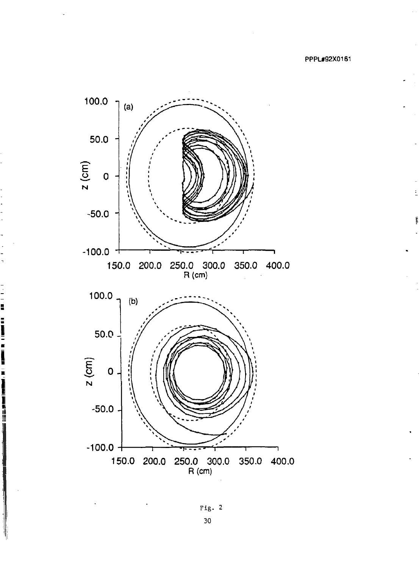

Fig. 2 30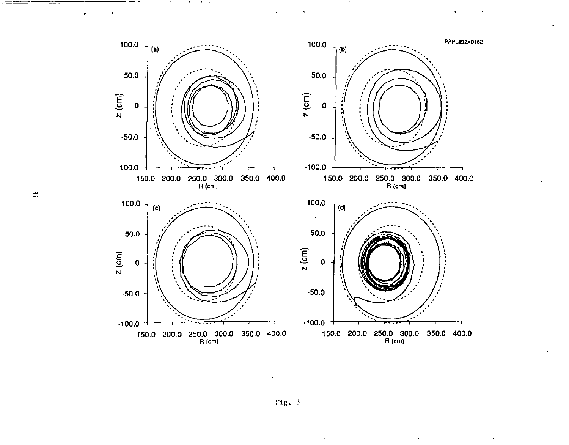PPPL#92X0162 100.0 100.0  $7(9)$  $7(10)$ 50.0 50.0  $z$  (cm)  $z$  (cm)  $\mathbf{o}$  $\pmb{0}$  $-50.0$  $-50.0$  $-100.0$  $-100.0$ 150.0 200.0 250.0 300.0 350.0 400.0<br>R(cm) 150.0 200.0 250.0 300.0 350.0 400.0<br>R(cm) 100.0  $1(d)$  $100.0 (c)$  $\epsilon$ 50.0 50.0  $z$  (cm)  $z$  (cm)  $\circ$  $\Omega$  $-50.0$  $-50.0$  $-100.0$  +  $-100.0$ 150.0 200.0 250.0 300.0<br>R(cm) 150.0 200.0 250.0 300.0 350.0 400.0<br>R (cm) 350.0 400.0

 $\epsilon$ 

 $Fig. 3$ 

 $\alpha_{\rm L}$ 

 $\bar{V}$ 

 $\Xi$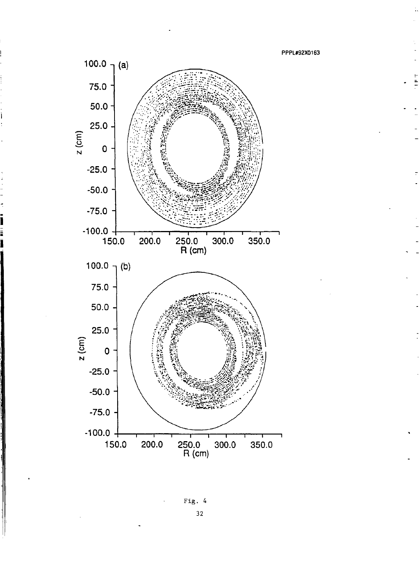

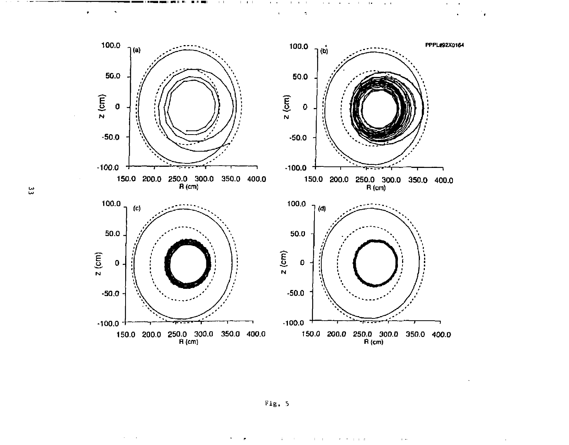

 $\mathbf{a} = \mathbf{a} + \mathbf{b}$  . The

 $\mathbf{r}$ 

÷,

 $\sim$   $\sim$ 

 $\blacksquare$ 

 $\pm$  100  $\pm$  100

 $\mathcal{A}=\mathcal{A}$  .

 $\tau$  ,  $\tau$  ,  $\tau$  ,  $\tau$ 

 $\sim$ 

ین

 $\ddot{\phantom{0}}$ 

 $\sim 10^{-1}$  km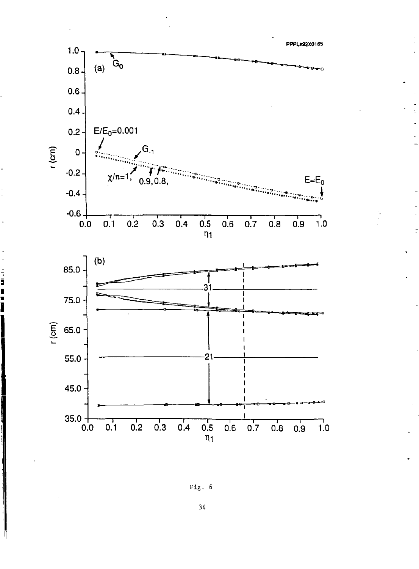

Fig. 6

34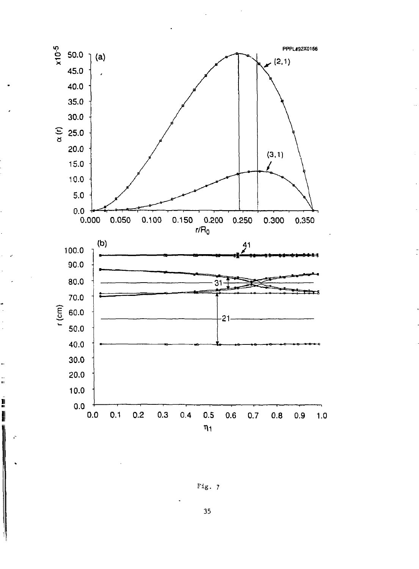

ă.

ľ

I

Fig. 7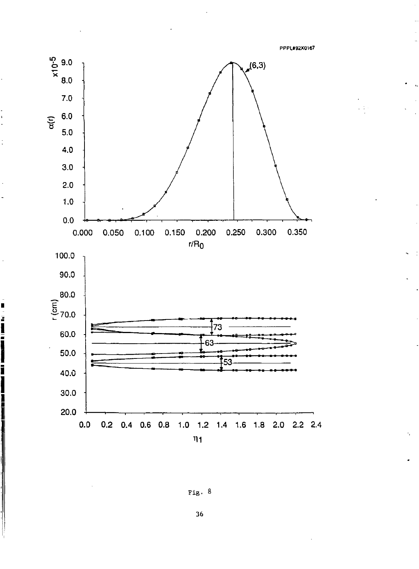**PPPU92X0167** 



I

5



**36**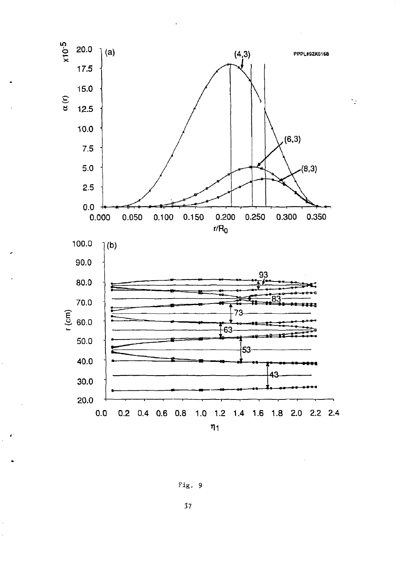

Fig. 9